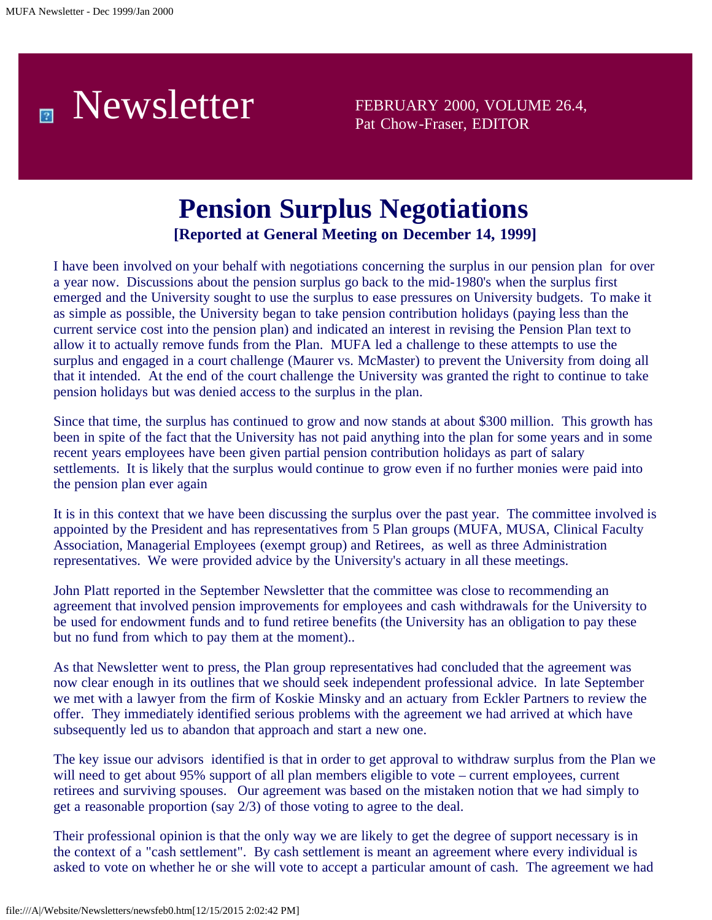

Pat Chow-Fraser, EDITOR

### **Pension Surplus Negotiations [Reported at General Meeting on December 14, 1999]**

I have been involved on your behalf with negotiations concerning the surplus in our pension plan for over a year now. Discussions about the pension surplus go back to the mid-1980's when the surplus first emerged and the University sought to use the surplus to ease pressures on University budgets. To make it as simple as possible, the University began to take pension contribution holidays (paying less than the current service cost into the pension plan) and indicated an interest in revising the Pension Plan text to allow it to actually remove funds from the Plan. MUFA led a challenge to these attempts to use the surplus and engaged in a court challenge (Maurer vs. McMaster) to prevent the University from doing all that it intended. At the end of the court challenge the University was granted the right to continue to take pension holidays but was denied access to the surplus in the plan.

Since that time, the surplus has continued to grow and now stands at about \$300 million. This growth has been in spite of the fact that the University has not paid anything into the plan for some years and in some recent years employees have been given partial pension contribution holidays as part of salary settlements. It is likely that the surplus would continue to grow even if no further monies were paid into the pension plan ever again

It is in this context that we have been discussing the surplus over the past year. The committee involved is appointed by the President and has representatives from 5 Plan groups (MUFA, MUSA, Clinical Faculty Association, Managerial Employees (exempt group) and Retirees, as well as three Administration representatives. We were provided advice by the University's actuary in all these meetings.

John Platt reported in the September Newsletter that the committee was close to recommending an agreement that involved pension improvements for employees and cash withdrawals for the University to be used for endowment funds and to fund retiree benefits (the University has an obligation to pay these but no fund from which to pay them at the moment)..

As that Newsletter went to press, the Plan group representatives had concluded that the agreement was now clear enough in its outlines that we should seek independent professional advice. In late September we met with a lawyer from the firm of Koskie Minsky and an actuary from Eckler Partners to review the offer. They immediately identified serious problems with the agreement we had arrived at which have subsequently led us to abandon that approach and start a new one.

The key issue our advisors identified is that in order to get approval to withdraw surplus from the Plan we will need to get about 95% support of all plan members eligible to vote – current employees, current retirees and surviving spouses. Our agreement was based on the mistaken notion that we had simply to get a reasonable proportion (say 2/3) of those voting to agree to the deal.

Their professional opinion is that the only way we are likely to get the degree of support necessary is in the context of a "cash settlement". By cash settlement is meant an agreement where every individual is asked to vote on whether he or she will vote to accept a particular amount of cash. The agreement we had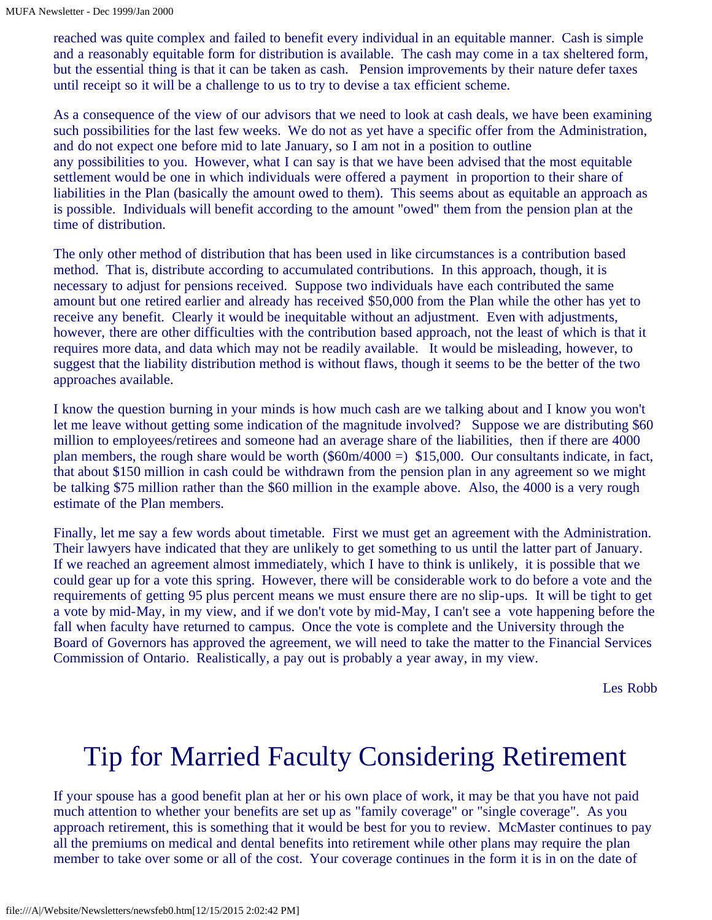reached was quite complex and failed to benefit every individual in an equitable manner. Cash is simple and a reasonably equitable form for distribution is available. The cash may come in a tax sheltered form, but the essential thing is that it can be taken as cash. Pension improvements by their nature defer taxes until receipt so it will be a challenge to us to try to devise a tax efficient scheme.

As a consequence of the view of our advisors that we need to look at cash deals, we have been examining such possibilities for the last few weeks. We do not as yet have a specific offer from the Administration, and do not expect one before mid to late January, so I am not in a position to outline any possibilities to you. However, what I can say is that we have been advised that the most equitable settlement would be one in which individuals were offered a payment in proportion to their share of liabilities in the Plan (basically the amount owed to them). This seems about as equitable an approach as is possible. Individuals will benefit according to the amount "owed" them from the pension plan at the time of distribution.

The only other method of distribution that has been used in like circumstances is a contribution based method. That is, distribute according to accumulated contributions. In this approach, though, it is necessary to adjust for pensions received. Suppose two individuals have each contributed the same amount but one retired earlier and already has received \$50,000 from the Plan while the other has yet to receive any benefit. Clearly it would be inequitable without an adjustment. Even with adjustments, however, there are other difficulties with the contribution based approach, not the least of which is that it requires more data, and data which may not be readily available. It would be misleading, however, to suggest that the liability distribution method is without flaws, though it seems to be the better of the two approaches available.

I know the question burning in your minds is how much cash are we talking about and I know you won't let me leave without getting some indication of the magnitude involved? Suppose we are distributing \$60 million to employees/retirees and someone had an average share of the liabilities, then if there are 4000 plan members, the rough share would be worth  $(\text{$60m/4000} =) \text{ $15,000}$ . Our consultants indicate, in fact, that about \$150 million in cash could be withdrawn from the pension plan in any agreement so we might be talking \$75 million rather than the \$60 million in the example above. Also, the 4000 is a very rough estimate of the Plan members.

Finally, let me say a few words about timetable. First we must get an agreement with the Administration. Their lawyers have indicated that they are unlikely to get something to us until the latter part of January. If we reached an agreement almost immediately, which I have to think is unlikely, it is possible that we could gear up for a vote this spring. However, there will be considerable work to do before a vote and the requirements of getting 95 plus percent means we must ensure there are no slip-ups. It will be tight to get a vote by mid-May, in my view, and if we don't vote by mid-May, I can't see a vote happening before the fall when faculty have returned to campus. Once the vote is complete and the University through the Board of Governors has approved the agreement, we will need to take the matter to the Financial Services Commission of Ontario. Realistically, a pay out is probably a year away, in my view.

Les Robb

### Tip for Married Faculty Considering Retirement

If your spouse has a good benefit plan at her or his own place of work, it may be that you have not paid much attention to whether your benefits are set up as "family coverage" or "single coverage". As you approach retirement, this is something that it would be best for you to review. McMaster continues to pay all the premiums on medical and dental benefits into retirement while other plans may require the plan member to take over some or all of the cost. Your coverage continues in the form it is in on the date of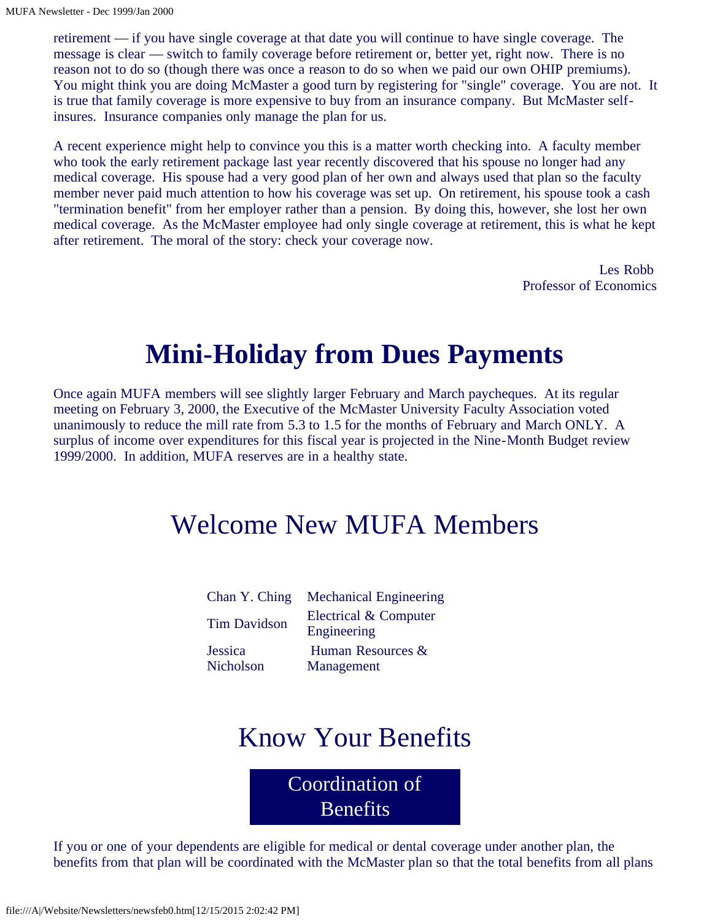retirement — if you have single coverage at that date you will continue to have single coverage. The message is clear — switch to family coverage before retirement or, better yet, right now. There is no reason not to do so (though there was once a reason to do so when we paid our own OHIP premiums). You might think you are doing McMaster a good turn by registering for "single" coverage. You are not. It is true that family coverage is more expensive to buy from an insurance company. But McMaster selfinsures. Insurance companies only manage the plan for us.

A recent experience might help to convince you this is a matter worth checking into. A faculty member who took the early retirement package last year recently discovered that his spouse no longer had any medical coverage. His spouse had a very good plan of her own and always used that plan so the faculty member never paid much attention to how his coverage was set up. On retirement, his spouse took a cash "termination benefit" from her employer rather than a pension. By doing this, however, she lost her own medical coverage. As the McMaster employee had only single coverage at retirement, this is what he kept after retirement. The moral of the story: check your coverage now.

> Les Robb Professor of Economics

## **Mini-Holiday from Dues Payments**

Once again MUFA members will see slightly larger February and March paycheques. At its regular meeting on February 3, 2000, the Executive of the McMaster University Faculty Association voted unanimously to reduce the mill rate from 5.3 to 1.5 for the months of February and March ONLY. A surplus of income over expenditures for this fiscal year is projected in the Nine-Month Budget review 1999/2000. In addition, MUFA reserves are in a healthy state.

### Welcome New MUFA Members

| Chan Y. Ching       | <b>Mechanical Engineering</b>        |
|---------------------|--------------------------------------|
| <b>Tim Davidson</b> | Electrical & Computer<br>Engineering |
| <b>Jessica</b>      | Human Resources &                    |
| <b>Nicholson</b>    | Management                           |

### Know Your Benefits

Coordination of Benefits

If you or one of your dependents are eligible for medical or dental coverage under another plan, the benefits from that plan will be coordinated with the McMaster plan so that the total benefits from all plans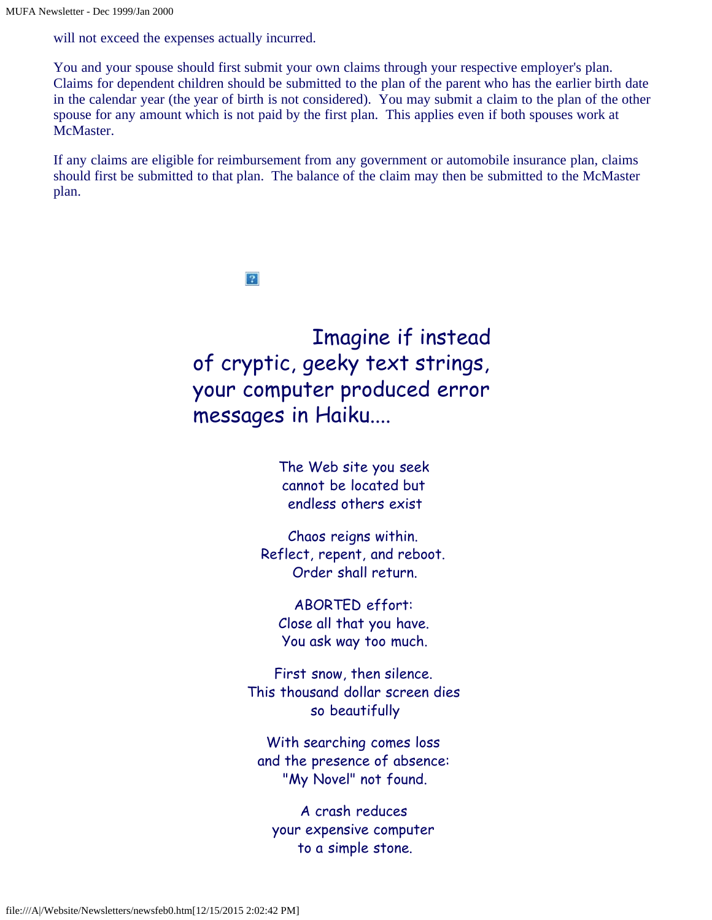will not exceed the expenses actually incurred.

You and your spouse should first submit your own claims through your respective employer's plan. Claims for dependent children should be submitted to the plan of the parent who has the earlier birth date in the calendar year (the year of birth is not considered). You may submit a claim to the plan of the other spouse for any amount which is not paid by the first plan. This applies even if both spouses work at McMaster.

If any claims are eligible for reimbursement from any government or automobile insurance plan, claims should first be submitted to that plan. The balance of the claim may then be submitted to the McMaster plan.

 $|2\rangle$ 

Imagine if instead of cryptic, geeky text strings, your computer produced error messages in Haiku....

> The Web site you seek cannot be located but endless others exist

Chaos reigns within. Reflect, repent, and reboot. Order shall return.

ABORTED effort: Close all that you have. You ask way too much.

First snow, then silence. This thousand dollar screen dies so beautifully

With searching comes loss and the presence of absence: "My Novel" not found.

A crash reduces your expensive computer to a simple stone.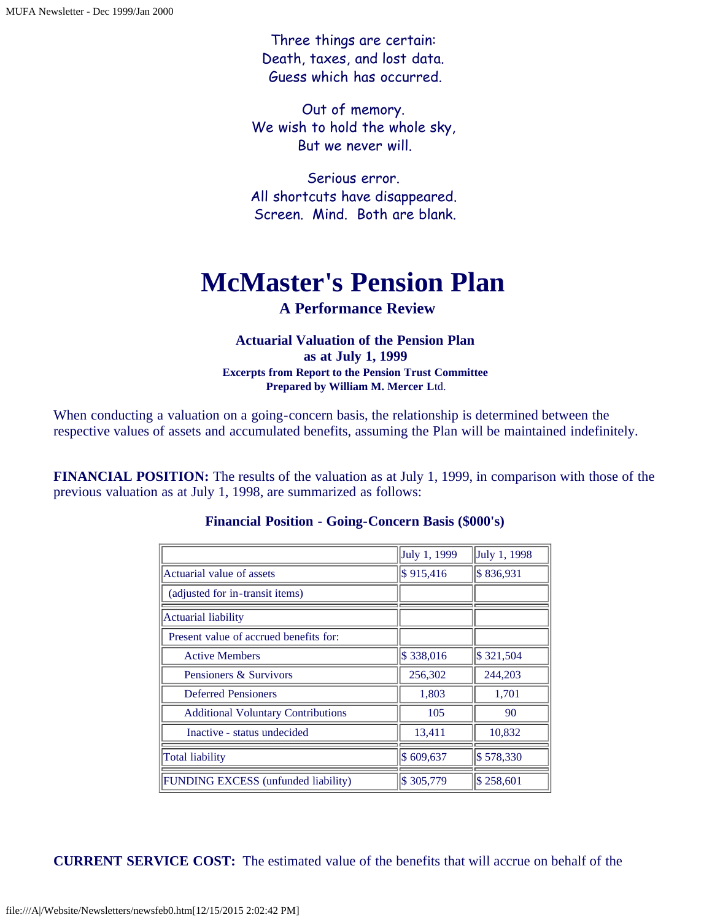Three things are certain: Death, taxes, and lost data. Guess which has occurred.

Out of memory. We wish to hold the whole sky, But we never will.

Serious error. All shortcuts have disappeared. Screen. Mind. Both are blank.

# **McMaster's Pension Plan**

### **A Performance Review**

#### **Actuarial Valuation of the Pension Plan as at July 1, 1999 Excerpts from Report to the Pension Trust Committee Prepared by William M. Mercer L**td.

When conducting a valuation on a going-concern basis, the relationship is determined between the respective values of assets and accumulated benefits, assuming the Plan will be maintained indefinitely.

**FINANCIAL POSITION:** The results of the valuation as at July 1, 1999, in comparison with those of the previous valuation as at July 1, 1998, are summarized as follows:

|                                           | July 1, 1999          | July 1, 1998          |
|-------------------------------------------|-----------------------|-----------------------|
| Actuarial value of assets                 | $\frac{1}{2}$ 915,416 | \$836,931             |
| (adjusted for in-transit items)           |                       |                       |
| <b>Actuarial liability</b>                |                       |                       |
| Present value of accrued benefits for:    |                       |                       |
| <b>Active Members</b>                     | \$338,016             | $\frac{$321,504}{}$   |
| Pensioners & Survivors                    | 256,302               | 244,203               |
| <b>Deferred Pensioners</b>                | 1,803                 | 1,701                 |
| <b>Additional Voluntary Contributions</b> | 105                   | 90                    |
| Inactive - status undecided               | 13,411                | 10,832                |
| <b>Total liability</b>                    | $\$609,637$           | $\frac{1}{5}$ 578,330 |
| FUNDING EXCESS (unfunded liability)       | \$305,779             | $\frac{1}{2}$ 258,601 |

#### **Financial Position - Going-Concern Basis (\$000's)**

**CURRENT SERVICE COST:** The estimated value of the benefits that will accrue on behalf of the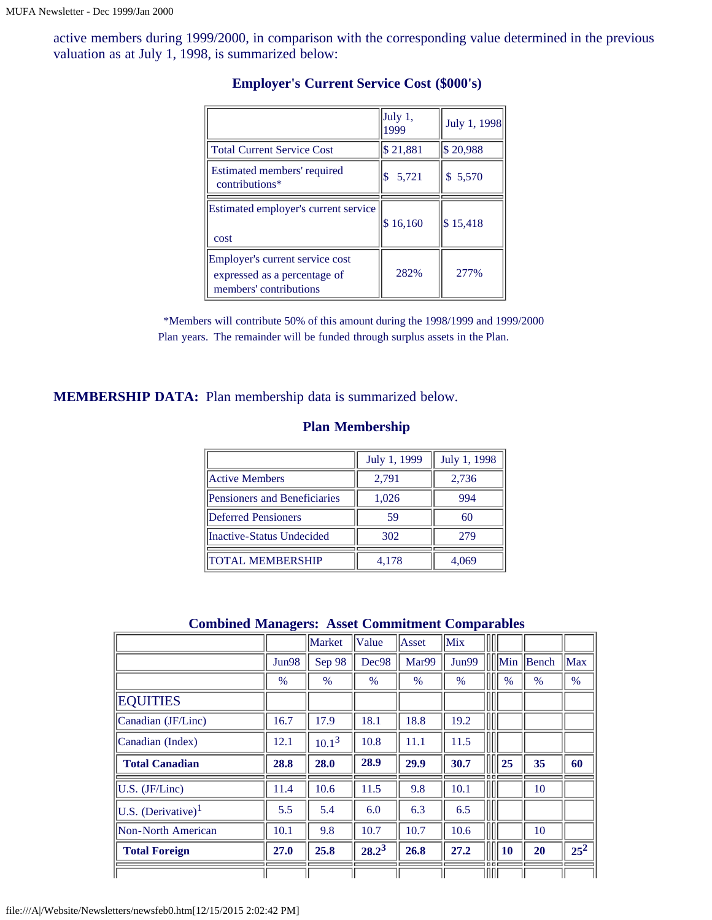active members during 1999/2000, in comparison with the corresponding value determined in the previous valuation as at July 1, 1998, is summarized below:

|                                                                                           | July 1,<br>1999 | July 1, 1998 |
|-------------------------------------------------------------------------------------------|-----------------|--------------|
| <b>Total Current Service Cost</b>                                                         | \$21,881        | \$20,988     |
| Estimated members' required<br>contributions*                                             | 5,721<br>ß.     | \$5,570      |
| Estimated employer's current service<br>cost                                              | \$16,160        | \$15,418     |
| Employer's current service cost<br>expressed as a percentage of<br>members' contributions | 282%            | 277%         |

#### **Employer's Current Service Cost (\$000's)**

 \*Members will contribute 50% of this amount during the 1998/1999 and 1999/2000 Plan years. The remainder will be funded through surplus assets in the Plan.

#### **MEMBERSHIP DATA:** Plan membership data is summarized below.

#### **Plan Membership**

|                              | July 1, 1999 | July 1, 1998 |  |
|------------------------------|--------------|--------------|--|
| <b>Active Members</b>        | 2,791        | 2,736        |  |
| Pensioners and Beneficiaries | 1,026        | 994          |  |
| Deferred Pensioners          | 59           | 60           |  |
| Inactive-Status Undecided    | 302          | 279          |  |
| <b>TOTAL MEMBERSHIP</b>      | 4,178        | 4,069        |  |

#### **Combined Managers: Asset Commitment Comparables**

|                                |       | Market   | Value             | Asset             | Mix   |     |                 |       |          |
|--------------------------------|-------|----------|-------------------|-------------------|-------|-----|-----------------|-------|----------|
|                                | Jun98 | Sep 98   | Dec <sub>98</sub> | Mar <sub>99</sub> | Jun99 |     | $\parallel$ Min | Bench | Max      |
|                                | $\%$  | $\%$     | $\%$              | $\%$              | $\%$  |     | $\%$            | $\%$  | $\%$     |
| <b>EQUITIES</b>                |       |          |                   |                   |       |     |                 |       |          |
| Canadian (JF/Linc)             | 16.7  | 17.9     | 18.1              | 18.8              | 19.2  |     |                 |       |          |
| Canadian (Index)               | 12.1  | $10.1^3$ | 10.8              | 11.1              | 11.5  |     |                 |       |          |
| <b>Total Canadian</b>          | 28.8  | 28.0     | 28.9              | 29.9              | 30.7  | o o | 25              | 35    | 60       |
| U.S. (JF/Linc)                 | 11.4  | 10.6     | 11.5              | 9.8               | 10.1  |     |                 | 10    |          |
| U.S. (Derivative) <sup>1</sup> | 5.5   | 5.4      | 6.0               | 6.3               | 6.5   |     |                 |       |          |
| <b>Non-North American</b>      | 10.1  | 9.8      | 10.7              | 10.7              | 10.6  |     |                 | 10    |          |
| <b>Total Foreign</b>           | 27.0  | 25.8     | $28.2^3$          | 26.8              | 27.2  |     | <b>10</b>       | 20    | $25^{2}$ |
|                                |       |          |                   |                   |       | пп  |                 |       |          |